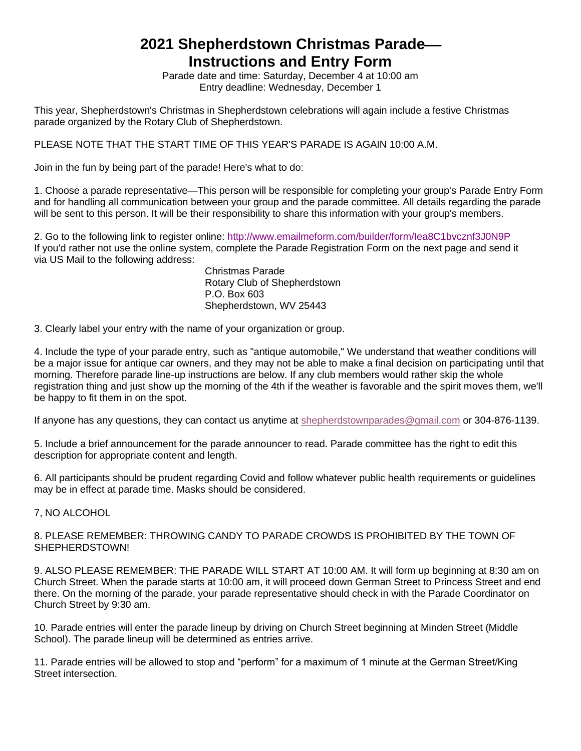## **2021 Shepherdstown Christmas Parade Instructions and Entry Form**

Parade date and time: Saturday, December 4 at 10:00 am Entry deadline: Wednesday, December 1

This year, Shepherdstown's Christmas in Shepherdstown celebrations will again include a festive Christmas parade organized by the Rotary Club of Shepherdstown.

PLEASE NOTE THAT THE START TIME OF THIS YEAR'S PARADE IS AGAIN 10:00 A.M.

Join in the fun by being part of the parade! Here's what to do:

1. Choose a parade representative—This person will be responsible for completing your group's Parade Entry Form and for handling all communication between your group and the parade committee. All details regarding the parade will be sent to this person. It will be their responsibility to share this information with your group's members.

2. Go to the following link to register online:<http://www.emailmeform.com/builder/form/Iea8C1bvcznf3J0N9P> If you'd rather not use the online system, complete the Parade Registration Form on the next page and send it via US Mail to the following address:

Christmas Parade Rotary Club of Shepherdstown P.O. Box 603 Shepherdstown, WV 25443

3. Clearly label your entry with the name of your organization or group.

4. Include the type of your parade entry, such as "antique automobile," We understand that weather conditions will be a major issue for antique car owners, and they may not be able to make a final decision on participating until that morning. Therefore parade line-up instructions are below. If any club members would rather skip the whole registration thing and just show up the morning of the 4th if the weather is favorable and the spirit moves them, we'll be happy to fit them in on the spot.

If anyone has any questions, they can contact us anytime at [shepherdstownparades@gmail.com](mailto:shepherdstownparades@gmail.com) or 304-876-1139.

5. Include a brief announcement for the parade announcer to read. Parade committee has the right to edit this description for appropriate content and length.

6. All participants should be prudent regarding Covid and follow whatever public health requirements or guidelines may be in effect at parade time. Masks should be considered.

7, NO ALCOHOL

8. PLEASE REMEMBER: THROWING CANDY TO PARADE CROWDS IS PROHIBITED BY THE TOWN OF SHEPHERDSTOWN!

9. ALSO PLEASE REMEMBER: THE PARADE WILL START AT 10:00 AM. It will form up beginning at 8:30 am on Church Street. When the parade starts at 10:00 am, it will proceed down German Street to Princess Street and end there. On the morning of the parade, your parade representative should check in with the Parade Coordinator on Church Street by 9:30 am.

10. Parade entries will enter the parade lineup by driving on Church Street beginning at Minden Street (Middle School). The parade lineup will be determined as entries arrive.

11. Parade entries will be allowed to stop and "perform" for a maximum of 1 minute at the German Street/King Street intersection.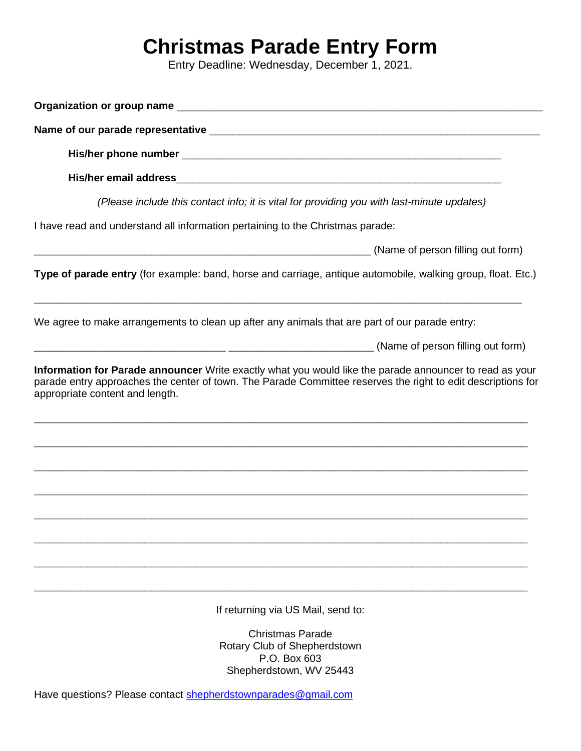## **Christmas Parade Entry Form**

Entry Deadline: Wednesday, December 1, 2021.

| Organization or group name substitution of the contract of the contract of the contract of the contract of the contract of the contract of the contract of the contract of the contract of the contract of the contract of the |
|--------------------------------------------------------------------------------------------------------------------------------------------------------------------------------------------------------------------------------|
|                                                                                                                                                                                                                                |
|                                                                                                                                                                                                                                |
|                                                                                                                                                                                                                                |
| (Please include this contact info; it is vital for providing you with last-minute updates)                                                                                                                                     |
| I have read and understand all information pertaining to the Christmas parade:                                                                                                                                                 |
| (Name of person filling out form)                                                                                                                                                                                              |
| Type of parade entry (for example: band, horse and carriage, antique automobile, walking group, float. Etc.)                                                                                                                   |
| We agree to make arrangements to clean up after any animals that are part of our parade entry:                                                                                                                                 |
| (Name of person filling out form)                                                                                                                                                                                              |
| appropriate content and length.                                                                                                                                                                                                |
|                                                                                                                                                                                                                                |
|                                                                                                                                                                                                                                |
| If returning via US Mail, send to:                                                                                                                                                                                             |
| <b>Christmas Parade</b><br>Rotary Club of Shepherdstown                                                                                                                                                                        |